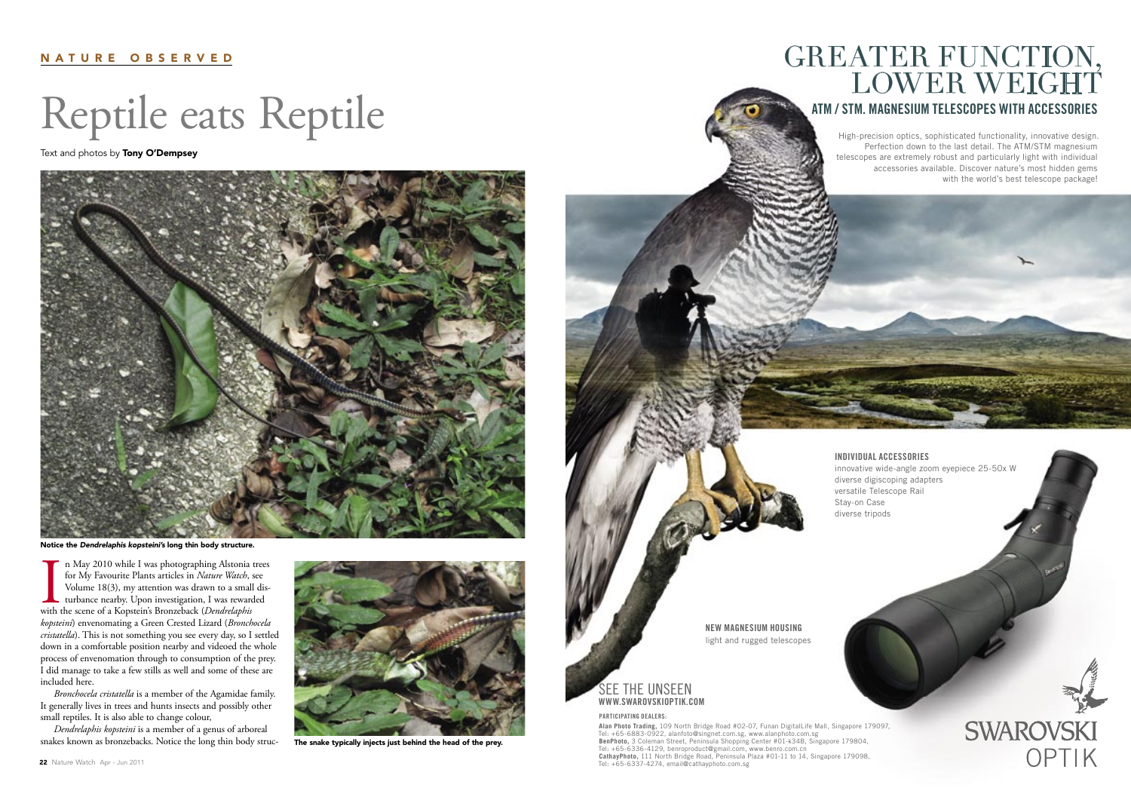# Reptile eats Reptile

Text and photos by **Tony O'Dempsey** 

## N A T U R E O B S E R V E D

In May 2010 while I was photographing Alstonia<br>for My Favourite Plants articles in *Nature Watch*, s<br>Volume 18(3), my attention was drawn to a small<br>turbance nearby. Upon investigation, I was rewarc<br>with the scene of a Kop n May 2010 while I was photographing Alstonia trees for My Favourite Plants articles in *Nature Watch*, see Volume 18(3), my attention was drawn to a small disturbance nearby. Upon investigation, I was rewarded *kopsteini*) envenomating a Green Crested Lizard (*Bronchocela cristatella*). This is not something you see every day, so I settled down in a comfortable position nearby and videoed the whole process of envenomation through to consumption of the prey. I did manage to take a few stills as well and some of these are included here.

*Bronchocela cristatella* is a member of the Agamidae family. It generally lives in trees and hunts insects and possibly other small reptiles. It is also able to change colour,

*Dendrelaphis kopsteini* is a member of a genus of arboreal snakes known as bronzebacks. Notice the long thin body struc-

# GREATER FUNCTION, LOWER WEIGHT





Notice the Dendrelaphis kopsteini's long thin body structure.



The snake typically injects just behind the head of the prey.